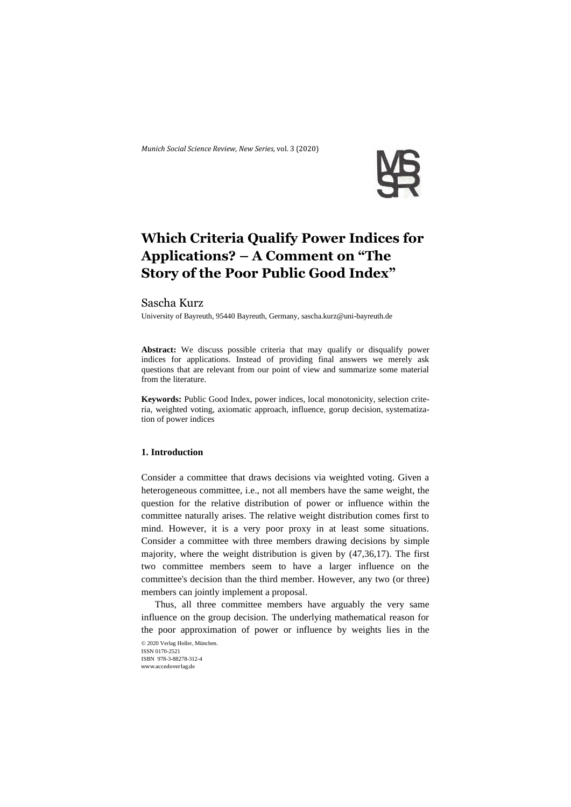*Munich Social Science Review*, *New Series,* vol. 3 (2020)



# **Which Criteria Qualify Power Indices for Applications? – A Comment on "The Story of the Poor Public Good Index"**

## Sascha Kurz

University of Bayreuth, 95440 Bayreuth, Germany, sascha.kurz@uni-bayreuth.de

**Abstract:** We discuss possible criteria that may qualify or disqualify power indices for applications. Instead of providing final answers we merely ask questions that are relevant from our point of view and summarize some material from the literature.

**Keywords:** Public Good Index, power indices, local monotonicity, selection criteria, weighted voting, axiomatic approach, influence, gorup decision, systematization of power indices

## **1. Introduction**

Consider a committee that draws decisions via weighted voting. Given a heterogeneous committee, i.e., not all members have the same weight, the question for the relative distribution of power or influence within the committee naturally arises. The relative weight distribution comes first to mind. However, it is a very poor proxy in at least some situations. Consider a committee with three members drawing decisions by simple majority, where the weight distribution is given by (47,36,17). The first two committee members seem to have a larger influence on the committee's decision than the third member. However, any two (or three) members can jointly implement a proposal.

Thus, all three committee members have arguably the very same influence on the group decision. The underlying mathematical reason for the poor approximation of power or influence by weights lies in the

© 2020 Verlag Holler, München. ISSN 0170-2521 ISBN 978-3-88278-312-4 www.accedoverlag.de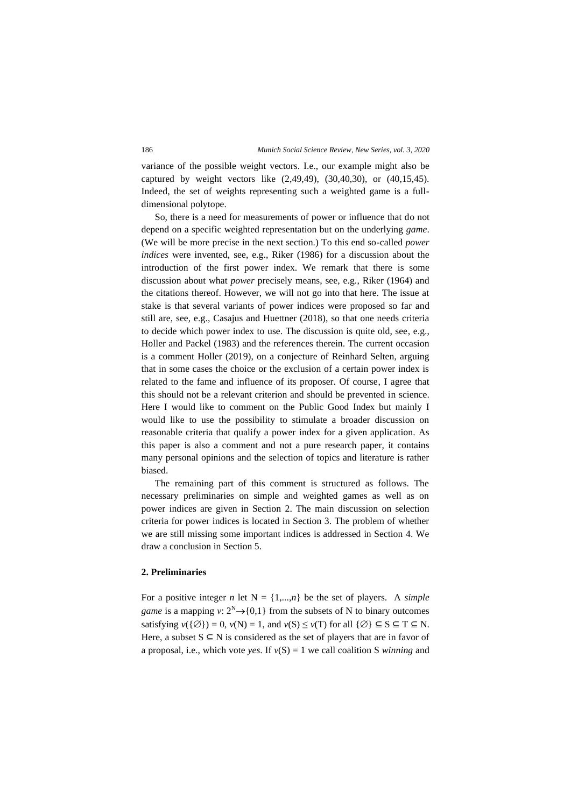variance of the possible weight vectors. I.e., our example might also be captured by weight vectors like (2,49,49), (30,40,30), or (40,15,45). Indeed, the set of weights representing such a weighted game is a fulldimensional polytope.

So, there is a need for measurements of power or influence that do not depend on a specific weighted representation but on the underlying *game*. (We will be more precise in the next section.) To this end so-called *power indices* were invented, see, e.g., Riker (1986) for a discussion about the introduction of the first power index. We remark that there is some discussion about what *power* precisely means, see, e.g., Riker (1964) and the citations thereof. However, we will not go into that here. The issue at stake is that several variants of power indices were proposed so far and still are, see, e.g., Casajus and Huettner (2018), so that one needs criteria to decide which power index to use. The discussion is quite old, see, e.g., Holler and Packel (1983) and the references therein. The current occasion is a comment Holler (2019), on a conjecture of Reinhard Selten, arguing that in some cases the choice or the exclusion of a certain power index is related to the fame and influence of its proposer. Of course, I agree that this should not be a relevant criterion and should be prevented in science. Here I would like to comment on the Public Good Index but mainly I would like to use the possibility to stimulate a broader discussion on reasonable criteria that qualify a power index for a given application. As this paper is also a comment and not a pure research paper, it contains many personal opinions and the selection of topics and literature is rather biased.

The remaining part of this comment is structured as follows. The necessary preliminaries on simple and weighted games as well as on power indices are given in Section 2. The main discussion on selection criteria for power indices is located in Section 3. The problem of whether we are still missing some important indices is addressed in Section 4. We draw a conclusion in Section 5.

### **2. Preliminaries**

For a positive integer *n* let  $N = \{1,...,n\}$  be the set of players. A *simple game* is a mapping *v*:  $2^N \rightarrow \{0,1\}$  from the subsets of N to binary outcomes satisfying  $v({\emptyset}) = 0$ ,  $v(N) = 1$ , and  $v(S) \le v(T)$  for all  $\{\emptyset\} \subseteq S \subseteq T \subseteq N$ . Here, a subset  $S \subseteq N$  is considered as the set of players that are in favor of a proposal, i.e., which vote *yes*. If  $v(S) = 1$  we call coalition S *winning* and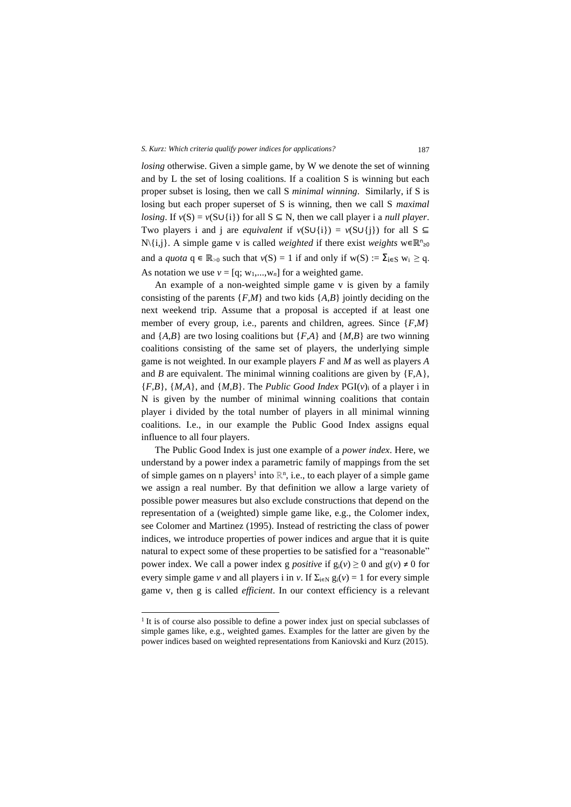*losing* otherwise. Given a simple game, by W we denote the set of winning and by L the set of losing coalitions. If a coalition S is winning but each proper subset is losing, then we call S *minimal winning*. Similarly, if S is losing but each proper superset of S is winning, then we call S *maximal losing*. If  $v(S) = v(S \cup \{i\})$  for all  $S \subseteq N$ , then we call player i a *null player*. Two players i and j are *equivalent* if  $v(S \cup \{i\}) = v(S \cup \{i\})$  for all S  $\subseteq$ N\{i,j}. A simple game v is called *weighted* if there exist *weights* w∈R<sup>n</sup>≥o and a *quota*  $q \in \mathbb{R}_{>0}$  such that  $v(S) = 1$  if and only if  $w(S) := \sum_{i \in S} w_i \ge q$ . As notation we use  $v = [q; w_1, ..., w_n]$  for a weighted game.

An example of a non-weighted simple game v is given by a family consisting of the parents {*F*,*M*} and two kids {*A*,*B*} jointly deciding on the next weekend trip. Assume that a proposal is accepted if at least one member of every group, i.e., parents and children, agrees. Since  $\{F,M\}$ and  ${A,B}$  are two losing coalitions but  ${F,A}$  and  ${M,B}$  are two winning coalitions consisting of the same set of players, the underlying simple game is not weighted. In our example players *F* and *M* as well as players *A* and *B* are equivalent. The minimal winning coalitions are given by  ${F,A}$ ,  ${F,B}$ ,  ${M,A}$ , and  ${M,B}$ . The *Public Good Index* PGI( $v$ )<sub>i</sub> of a player i in N is given by the number of minimal winning coalitions that contain player i divided by the total number of players in all minimal winning coalitions. I.e., in our example the Public Good Index assigns equal influence to all four players.

The Public Good Index is just one example of a *power index*. Here, we understand by a power index a parametric family of mappings from the set of simple games on n players<sup>1</sup> into  $\mathbb{R}^n$ , i.e., to each player of a simple game we assign a real number. By that definition we allow a large variety of possible power measures but also exclude constructions that depend on the representation of a (weighted) simple game like, e.g., the Colomer index, see Colomer and Martinez (1995). Instead of restricting the class of power indices, we introduce properties of power indices and argue that it is quite natural to expect some of these properties to be satisfied for a "reasonable" power index. We call a power index g *positive* if  $g_i(v) \ge 0$  and  $g(v) \ne 0$  for every simple game *v* and all players i in *v*. If  $\Sigma_{i \in N}$  g<sub>i</sub>(*v*) = 1 for every simple game v, then g is called *efficient*. In our context efficiency is a relevant

<sup>&</sup>lt;sup>1</sup> It is of course also possible to define a power index just on special subclasses of simple games like, e.g., weighted games. Examples for the latter are given by the power indices based on weighted representations from Kaniovski and Kurz (2015).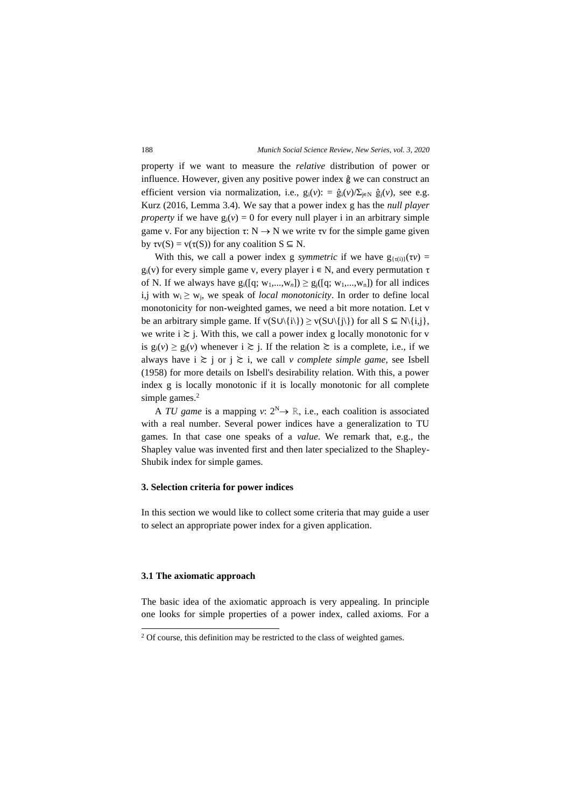property if we want to measure the *relative* distribution of power or influence. However, given any positive power index ĝ we can construct an efficient version via normalization, i.e.,  $g_i(v)$ : =  $\hat{g}_i(v)/\sum_{j \in N} \hat{g}_j(v)$ , see e.g. Kurz (2016, Lemma 3.4). We say that a power index g has the *null player property* if we have  $g_i(v) = 0$  for every null player i in an arbitrary simple game v. For any bijection  $\tau: N \to N$  we write  $\tau v$  for the simple game given by  $\text{tv}(S) = \text{v}(\tau(S))$  for any coalition  $S \subseteq N$ .

With this, we call a power index g *symmetric* if we have  $g_{\{\tau(i)\}}(\tau v) =$ g<sub>i</sub>(v) for every simple game v, every player  $i \in N$ , and every permutation  $\tau$ of N. If we always have  $g_i([q; w_1,...,w_n]) \ge g_i([q; w_1,...,w_n])$  for all indices i,j with  $w_i \geq w_i$ , we speak of *local monotonicity*. In order to define local monotonicity for non-weighted games, we need a bit more notation. Let v be an arbitrary simple game. If  $v(S \cup \{i\}) \ge v(S \cup \{j\})$  for all  $S \subseteq N\{i,j\}$ , we write  $i \ge j$ . With this, we call a power index g locally monotonic for v is  $g_i(v) \ge g_j(v)$  whenever  $i \ge j$ . If the relation  $\ge$  is a complete, i.e., if we always have  $i \ge j$  or  $j \ge i$ , we call *v complete simple game*, see Isbell (1958) for more details on Isbell's desirability relation. With this, a power index g is locally monotonic if it is locally monotonic for all complete simple games.<sup>2</sup>

A *TU game* is a mapping *v*:  $2^N \rightarrow \mathbb{R}$ , i.e., each coalition is associated with a real number. Several power indices have a generalization to TU games. In that case one speaks of a *value*. We remark that, e.g., the Shapley value was invented first and then later specialized to the Shapley-Shubik index for simple games.

#### **3. Selection criteria for power indices**

In this section we would like to collect some criteria that may guide a user to select an appropriate power index for a given application.

#### **3.1 The axiomatic approach**

The basic idea of the axiomatic approach is very appealing. In principle one looks for simple properties of a power index, called axioms. For a

 $2$  Of course, this definition may be restricted to the class of weighted games.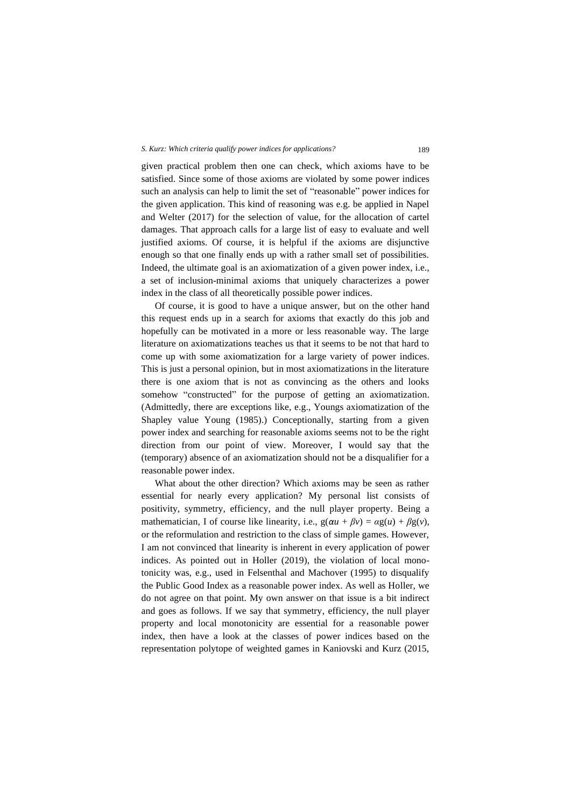#### *S. Kurz: Which criteria qualify power indices for applications?* 189

given practical problem then one can check, which axioms have to be satisfied. Since some of those axioms are violated by some power indices such an analysis can help to limit the set of "reasonable" power indices for the given application. This kind of reasoning was e.g. be applied in Napel and Welter (2017) for the selection of value, for the allocation of cartel damages. That approach calls for a large list of easy to evaluate and well justified axioms. Of course, it is helpful if the axioms are disjunctive enough so that one finally ends up with a rather small set of possibilities. Indeed, the ultimate goal is an axiomatization of a given power index, i.e., a set of inclusion-minimal axioms that uniquely characterizes a power index in the class of all theoretically possible power indices.

Of course, it is good to have a unique answer, but on the other hand this request ends up in a search for axioms that exactly do this job and hopefully can be motivated in a more or less reasonable way. The large literature on axiomatizations teaches us that it seems to be not that hard to come up with some axiomatization for a large variety of power indices. This is just a personal opinion, but in most axiomatizations in the literature there is one axiom that is not as convincing as the others and looks somehow "constructed" for the purpose of getting an axiomatization. (Admittedly, there are exceptions like, e.g., Youngs axiomatization of the Shapley value Young (1985).) Conceptionally, starting from a given power index and searching for reasonable axioms seems not to be the right direction from our point of view. Moreover, I would say that the (temporary) absence of an axiomatization should not be a disqualifier for a reasonable power index.

What about the other direction? Which axioms may be seen as rather essential for nearly every application? My personal list consists of positivity, symmetry, efficiency, and the null player property. Being a mathematician, I of course like linearity, i.e.,  $g(\alpha u + \beta v) = \alpha g(u) + \beta g(v)$ , or the reformulation and restriction to the class of simple games. However, I am not convinced that linearity is inherent in every application of power indices. As pointed out in Holler (2019), the violation of local monotonicity was, e.g., used in Felsenthal and Machover (1995) to disqualify the Public Good Index as a reasonable power index. As well as Holler, we do not agree on that point. My own answer on that issue is a bit indirect and goes as follows. If we say that symmetry, efficiency, the null player property and local monotonicity are essential for a reasonable power index, then have a look at the classes of power indices based on the representation polytope of weighted games in Kaniovski and Kurz (2015,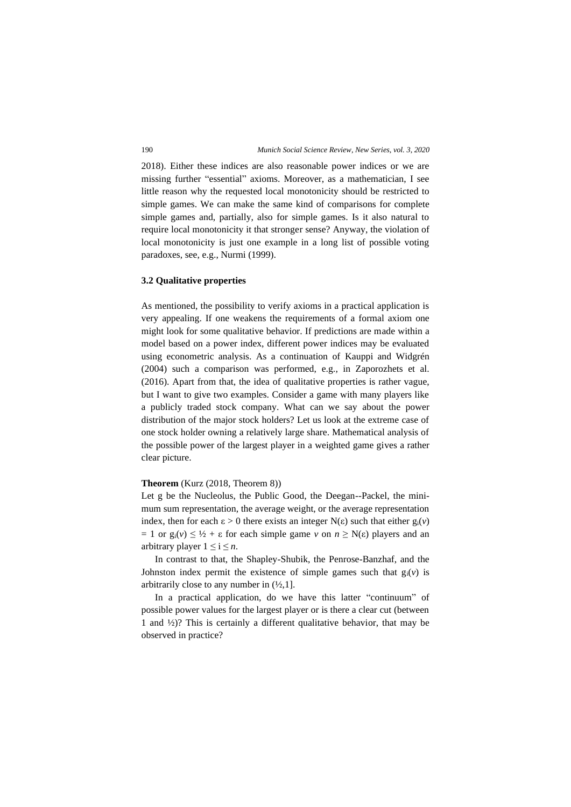2018). Either these indices are also reasonable power indices or we are missing further "essential" axioms. Moreover, as a mathematician, I see little reason why the requested local monotonicity should be restricted to simple games. We can make the same kind of comparisons for complete simple games and, partially, also for simple games. Is it also natural to require local monotonicity it that stronger sense? Anyway, the violation of local monotonicity is just one example in a long list of possible voting paradoxes, see, e.g., Nurmi (1999).

#### **3.2 Qualitative properties**

As mentioned, the possibility to verify axioms in a practical application is very appealing. If one weakens the requirements of a formal axiom one might look for some qualitative behavior. If predictions are made within a model based on a power index, different power indices may be evaluated using econometric analysis. As a continuation of Kauppi and Widgrén (2004) such a comparison was performed, e.g., in Zaporozhets et al. (2016). Apart from that, the idea of qualitative properties is rather vague, but I want to give two examples. Consider a game with many players like a publicly traded stock company. What can we say about the power distribution of the major stock holders? Let us look at the extreme case of one stock holder owning a relatively large share. Mathematical analysis of the possible power of the largest player in a weighted game gives a rather clear picture.

#### **Theorem** (Kurz (2018, Theorem 8))

Let g be the Nucleolus, the Public Good, the Deegan--Packel, the minimum sum representation, the average weight, or the average representation index, then for each  $\epsilon > 0$  there exists an integer N( $\epsilon$ ) such that either  $g_i(v)$  $= 1$  or  $g_i(v) \leq \frac{1}{2} + \varepsilon$  for each simple game *v* on  $n \geq N(\varepsilon)$  players and an arbitrary player  $1 \le i \le n$ .

In contrast to that, the Shapley-Shubik, the Penrose-Banzhaf, and the Johnston index permit the existence of simple games such that  $g_i(v)$  is arbitrarily close to any number in  $(\frac{1}{2}, 1]$ .

In a practical application, do we have this latter "continuum" of possible power values for the largest player or is there a clear cut (between 1 and ½)? This is certainly a different qualitative behavior, that may be observed in practice?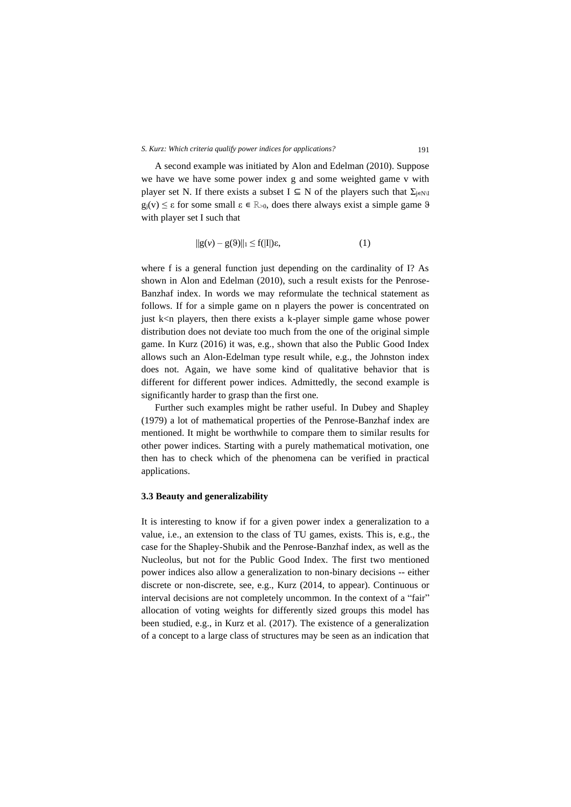A second example was initiated by Alon and Edelman (2010). Suppose we have we have some power index g and some weighted game v with player set N. If there exists a subset  $I \subseteq N$  of the players such that  $\Sigma_{j \in N\setminus I}$ g<sub>i</sub>(v)  $\leq \varepsilon$  for some small  $\varepsilon \in \mathbb{R}_{>0}$ , does there always exist a simple game  $\vartheta$ with player set I such that

$$
||g(v) - g(\vartheta)||_1 \le f(|I|)\varepsilon,\tag{1}
$$

where f is a general function just depending on the cardinality of I? As shown in Alon and Edelman (2010), such a result exists for the Penrose-Banzhaf index. In words we may reformulate the technical statement as follows. If for a simple game on n players the power is concentrated on just k<n players, then there exists a k-player simple game whose power distribution does not deviate too much from the one of the original simple game. In Kurz (2016) it was, e.g., shown that also the Public Good Index allows such an Alon-Edelman type result while, e.g., the Johnston index does not. Again, we have some kind of qualitative behavior that is different for different power indices. Admittedly, the second example is significantly harder to grasp than the first one.

Further such examples might be rather useful. In Dubey and Shapley (1979) a lot of mathematical properties of the Penrose-Banzhaf index are mentioned. It might be worthwhile to compare them to similar results for other power indices. Starting with a purely mathematical motivation, one then has to check which of the phenomena can be verified in practical applications.

#### **3.3 Beauty and generalizability**

It is interesting to know if for a given power index a generalization to a value, i.e., an extension to the class of TU games, exists. This is, e.g., the case for the Shapley-Shubik and the Penrose-Banzhaf index, as well as the Nucleolus, but not for the Public Good Index. The first two mentioned power indices also allow a generalization to non-binary decisions -- either discrete or non-discrete, see, e.g., Kurz (2014, to appear). Continuous or interval decisions are not completely uncommon. In the context of a "fair" allocation of voting weights for differently sized groups this model has been studied, e.g., in Kurz et al. (2017). The existence of a generalization of a concept to a large class of structures may be seen as an indication that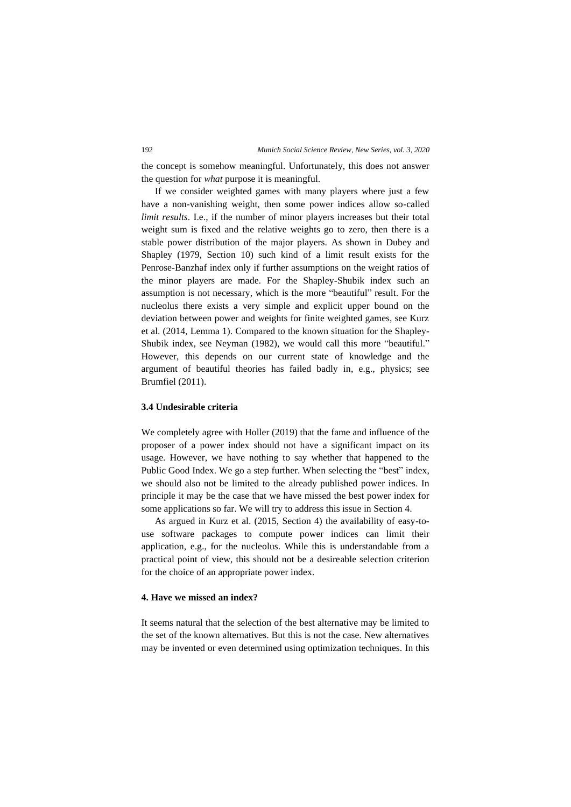the concept is somehow meaningful. Unfortunately, this does not answer the question for *what* purpose it is meaningful.

If we consider weighted games with many players where just a few have a non-vanishing weight, then some power indices allow so-called *limit results*. I.e., if the number of minor players increases but their total weight sum is fixed and the relative weights go to zero, then there is a stable power distribution of the major players. As shown in Dubey and Shapley (1979, Section 10) such kind of a limit result exists for the Penrose-Banzhaf index only if further assumptions on the weight ratios of the minor players are made. For the Shapley-Shubik index such an assumption is not necessary, which is the more "beautiful" result. For the nucleolus there exists a very simple and explicit upper bound on the deviation between power and weights for finite weighted games, see Kurz et al. (2014, Lemma 1). Compared to the known situation for the Shapley-Shubik index, see Neyman (1982), we would call this more "beautiful." However, this depends on our current state of knowledge and the argument of beautiful theories has failed badly in, e.g., physics; see Brumfiel (2011).

## **3.4 Undesirable criteria**

We completely agree with Holler (2019) that the fame and influence of the proposer of a power index should not have a significant impact on its usage. However, we have nothing to say whether that happened to the Public Good Index. We go a step further. When selecting the "best" index, we should also not be limited to the already published power indices. In principle it may be the case that we have missed the best power index for some applications so far. We will try to address this issue in Section 4.

As argued in Kurz et al. (2015, Section 4) the availability of easy-touse software packages to compute power indices can limit their application, e.g., for the nucleolus. While this is understandable from a practical point of view, this should not be a desireable selection criterion for the choice of an appropriate power index.

## **4. Have we missed an index?**

It seems natural that the selection of the best alternative may be limited to the set of the known alternatives. But this is not the case. New alternatives may be invented or even determined using optimization techniques. In this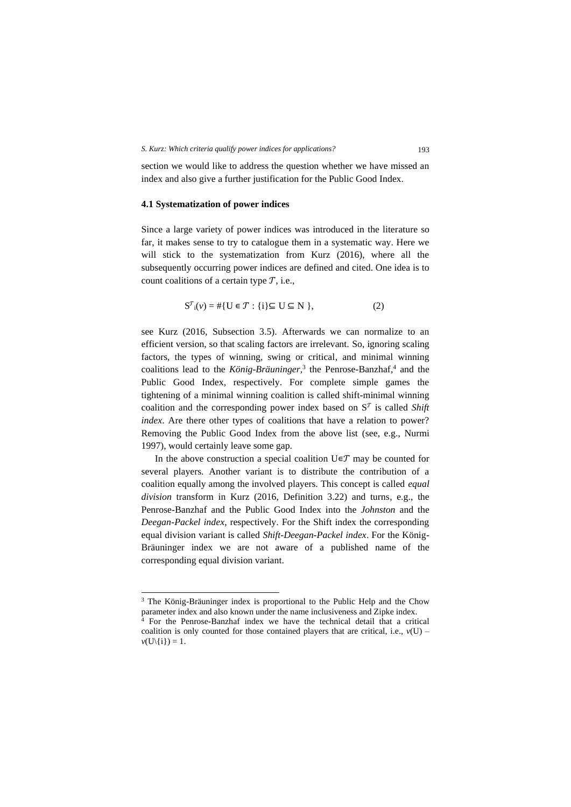section we would like to address the question whether we have missed an index and also give a further justification for the Public Good Index.

## **4.1 Systematization of power indices**

Since a large variety of power indices was introduced in the literature so far, it makes sense to try to catalogue them in a systematic way. Here we will stick to the systematization from Kurz (2016), where all the subsequently occurring power indices are defined and cited. One idea is to count coalitions of a certain type  $T$ , i.e.,

$$
S^{T}_{i}(v) = #\{U \in \mathcal{T} : \{i\} \subseteq U \subseteq N\},\tag{2}
$$

see Kurz (2016, Subsection 3.5). Afterwards we can normalize to an efficient version, so that scaling factors are irrelevant. So, ignoring scaling factors, the types of winning, swing or critical, and minimal winning coalitions lead to the *König-Bräuninger,* 3 the Penrose-Banzhaf, 4 and the Public Good Index, respectively. For complete simple games the tightening of a minimal winning coalition is called shift-minimal winning coalition and the corresponding power index based on  $S<sup>T</sup>$  is called *Shift index*. Are there other types of coalitions that have a relation to power? Removing the Public Good Index from the above list (see, e.g., Nurmi 1997), would certainly leave some gap.

In the above construction a special coalition  $U \in \mathcal{T}$  may be counted for several players. Another variant is to distribute the contribution of a coalition equally among the involved players. This concept is called *equal division* transform in Kurz (2016, Definition 3.22) and turns, e.g., the Penrose-Banzhaf and the Public Good Index into the *Johnston* and the *Deegan-Packel index*, respectively. For the Shift index the corresponding equal division variant is called *Shift-Deegan-Packel index*. For the König-Bräuninger index we are not aware of a published name of the corresponding equal division variant.

<sup>&</sup>lt;sup>3</sup> The König-Bräuninger index is proportional to the Public Help and the Chow parameter index and also known under the name inclusiveness and Zipke index.

<sup>4</sup> For the Penrose-Banzhaf index we have the technical detail that a critical coalition is only counted for those contained players that are critical, i.e.,  $v(U)$  –  $v(U\setminus\{i\})=1.$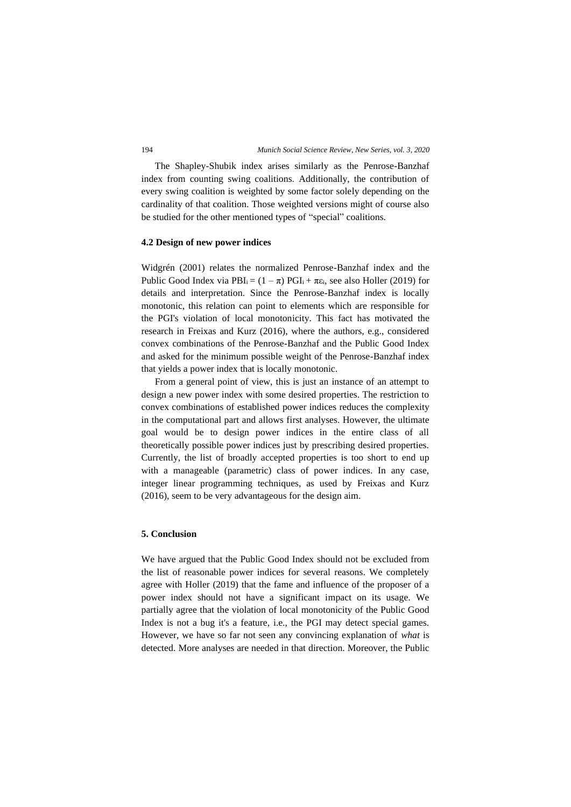The Shapley-Shubik index arises similarly as the Penrose-Banzhaf index from counting swing coalitions. Additionally, the contribution of every swing coalition is weighted by some factor solely depending on the cardinality of that coalition. Those weighted versions might of course also be studied for the other mentioned types of "special" coalitions.

#### **4.2 Design of new power indices**

Widgrén (2001) relates the normalized Penrose-Banzhaf index and the Public Good Index via  $PBI_i = (1 - \pi) PGI_i + \pi \epsilon_i$ , see also Holler (2019) for details and interpretation. Since the Penrose-Banzhaf index is locally monotonic, this relation can point to elements which are responsible for the PGI's violation of local monotonicity. This fact has motivated the research in Freixas and Kurz (2016), where the authors, e.g., considered convex combinations of the Penrose-Banzhaf and the Public Good Index and asked for the minimum possible weight of the Penrose-Banzhaf index that yields a power index that is locally monotonic.

From a general point of view, this is just an instance of an attempt to design a new power index with some desired properties. The restriction to convex combinations of established power indices reduces the complexity in the computational part and allows first analyses. However, the ultimate goal would be to design power indices in the entire class of all theoretically possible power indices just by prescribing desired properties. Currently, the list of broadly accepted properties is too short to end up with a manageable (parametric) class of power indices. In any case, integer linear programming techniques, as used by Freixas and Kurz (2016), seem to be very advantageous for the design aim.

## **5. Conclusion**

We have argued that the Public Good Index should not be excluded from the list of reasonable power indices for several reasons. We completely agree with Holler (2019) that the fame and influence of the proposer of a power index should not have a significant impact on its usage. We partially agree that the violation of local monotonicity of the Public Good Index is not a bug it's a feature, i.e., the PGI may detect special games. However, we have so far not seen any convincing explanation of *what* is detected. More analyses are needed in that direction. Moreover, the Public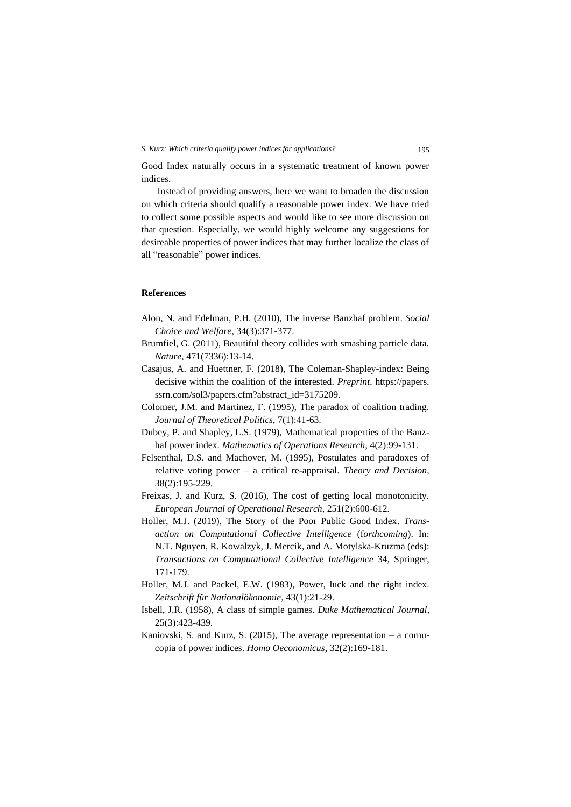Good Index naturally occurs in a systematic treatment of known power indices.

Instead of providing answers, here we want to broaden the discussion on which criteria should qualify a reasonable power index. We have tried to collect some possible aspects and would like to see more discussion on that question. Especially, we would highly welcome any suggestions for desireable properties of power indices that may further localize the class of all "reasonable" power indices.

### **References**

- Alon, N. and Edelman, P.H. (2010), The inverse Banzhaf problem. *Social Choice and Welfare*, 34(3):371-377.
- Brumfiel, G. (2011), Beautiful theory collides with smashing particle data. *Nature*, 471(7336):13-14.
- Casajus, A. and Huettner, F. (2018), The Coleman-Shapley-index: Being decisive within the coalition of the interested. *Preprint*. https://papers. ssrn.com/sol3/papers.cfm?abstract\_id=3175209.
- Colomer, J.M. and Martinez, F. (1995), The paradox of coalition trading. *Journal of Theoretical Politics*, 7(1):41-63.
- Dubey, P. and Shapley, L.S. (1979), Mathematical properties of the Banzhaf power index. *Mathematics of Operations Research*, 4(2):99-131.
- Felsenthal, D.S. and Machover, M. (1995), Postulates and paradoxes of relative voting power – a critical re-appraisal. *Theory and Decision*, 38(2):195-229.
- Freixas, J. and Kurz, S. (2016), The cost of getting local monotonicity. *European Journal of Operational Research*, 251(2):600-612.
- Holler, M.J. (2019), The Story of the Poor Public Good Index. *Transaction on Computational Collective Intelligence* (f*orthcoming*). In: N.T. Nguyen, R. Kowalzyk, J. Mercik, and A. Motylska-Kruzma (eds): *Transactions on Computational Collective Intelligence* 34, Springer, 171-179.
- Holler, M.J. and Packel, E.W. (1983), Power, luck and the right index. *Zeitschrift für Nationalökonomie*, 43(1):21-29.
- Isbell, J.R. (1958), A class of simple games. *Duke Mathematical Journal*, 25(3):423-439.
- Kaniovski, S. and Kurz, S. (2015), The average representation a cornucopia of power indices. *Homo Oeconomicus*, 32(2):169-181.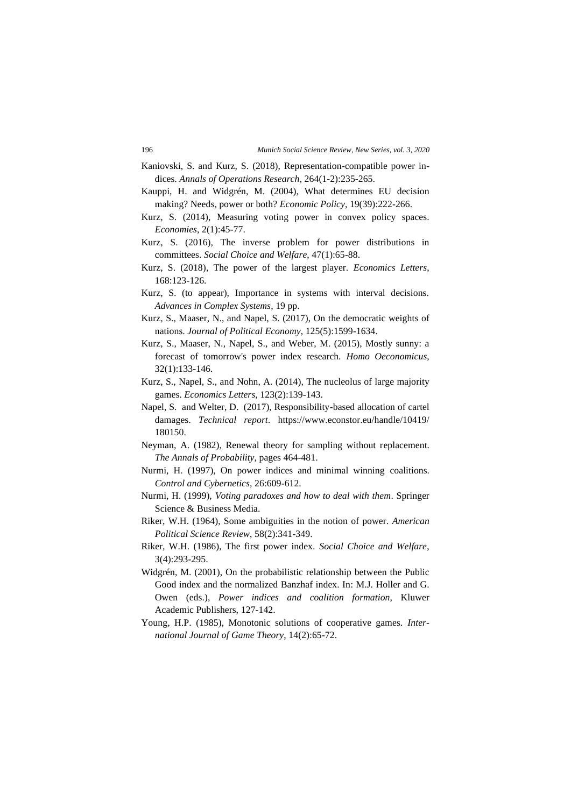- Kaniovski, S. and Kurz, S. (2018), Representation-compatible power indices. *Annals of Operations Research*, 264(1-2):235-265.
- Kauppi, H. and Widgrén, M. (2004), What determines EU decision making? Needs, power or both? *Economic Policy*, 19(39):222-266.
- Kurz, S. (2014), Measuring voting power in convex policy spaces. *Economies*, 2(1):45-77.
- Kurz, S. (2016), The inverse problem for power distributions in committees. *Social Choice and Welfare*, 47(1):65-88.
- Kurz, S. (2018), The power of the largest player. *Economics Letters*, 168:123-126.
- Kurz, S. (to appear), Importance in systems with interval decisions. *Advances in Complex Systems*, 19 pp.
- Kurz, S., Maaser, N., and Napel, S. (2017), On the democratic weights of nations. *Journal of Political Economy*, 125(5):1599-1634.
- Kurz, S., Maaser, N., Napel, S., and Weber, M. (2015), Mostly sunny: a forecast of tomorrow's power index research. *Homo Oeconomicus*, 32(1):133-146.
- Kurz, S., Napel, S., and Nohn, A. (2014), The nucleolus of large majority games. *Economics Letters*, 123(2):139-143.
- Napel, S. and Welter, D. (2017), Responsibility-based allocation of cartel damages. *Technical report*. [https://www.econstor.eu/handle/10419/](https://www.econstor.eu/handle/10419/%20180150) [180150.](https://www.econstor.eu/handle/10419/%20180150)
- Neyman, A. (1982), Renewal theory for sampling without replacement. *The Annals of Probability*, pages 464-481.
- Nurmi, H. (1997), On power indices and minimal winning coalitions. *Control and Cybernetics*, 26:609-612.
- Nurmi, H. (1999), *Voting paradoxes and how to deal with them*. Springer Science & Business Media.
- Riker, W.H. (1964), Some ambiguities in the notion of power. *American Political Science Review*, 58(2):341-349.
- Riker, W.H. (1986), The first power index. *Social Choice and Welfare*, 3(4):293-295.
- Widgrén, M. (2001), On the probabilistic relationship between the Public Good index and the normalized Banzhaf index. In: M.J. Holler and G. Owen (eds.), *Power indices and coalition formation*, Kluwer Academic Publishers, 127-142.
- Young, H.P. (1985), Monotonic solutions of cooperative games. *International Journal of Game Theory*, 14(2):65-72.